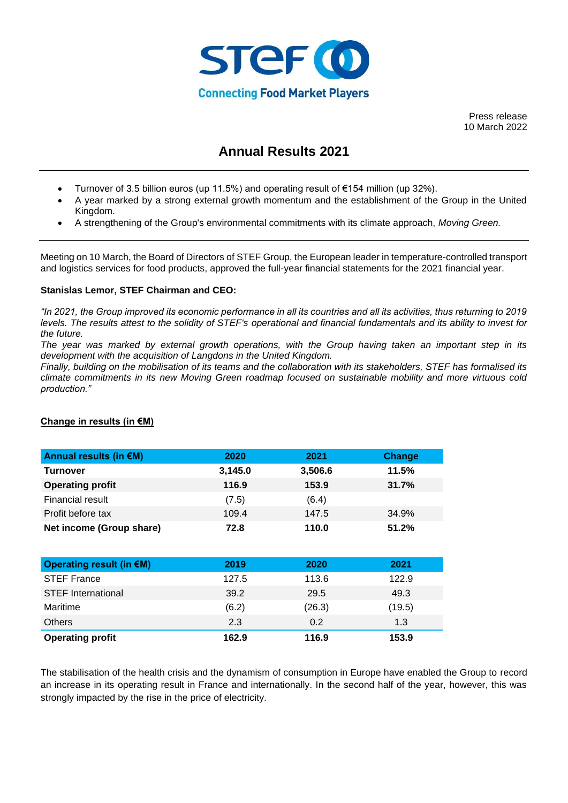

Press release 10 March 2022

# **Annual Results 2021**

- Turnover of 3.5 billion euros (up 11.5%) and operating result of €154 million (up 32%).
- A year marked by a strong external growth momentum and the establishment of the Group in the United Kingdom.
- A strengthening of the Group's environmental commitments with its climate approach, *Moving Green.*

Meeting on 10 March, the Board of Directors of STEF Group, the European leader in temperature-controlled transport and logistics services for food products, approved the full-year financial statements for the 2021 financial year.

# **Stanislas Lemor, STEF Chairman and CEO:**

*"In 2021, the Group improved its economic performance in all its countries and all its activities, thus returning to 2019 levels. The results attest to the solidity of STEF's operational and financial fundamentals and its ability to invest for the future.* 

*The year was marked by external growth operations, with the Group having taken an important step in its development with the acquisition of Langdons in the United Kingdom.* 

*Finally, building on the mobilisation of its teams and the collaboration with its stakeholders, STEF has formalised its climate commitments in its new Moving Green roadmap focused on sustainable mobility and more virtuous cold production."*

| Annual results (in $\notin M$ ) | 2020    | 2021    | Change |
|---------------------------------|---------|---------|--------|
| Turnover                        | 3,145.0 | 3,506.6 | 11.5%  |
| <b>Operating profit</b>         | 116.9   | 153.9   | 31.7%  |
| Financial result                | (7.5)   | (6.4)   |        |
| Profit before tax               | 109.4   | 147.5   | 34.9%  |
| Net income (Group share)        | 72.8    | 110.0   | 51.2%  |

# **Change in results (in €M)**

| Operating result (in €M)  | 2019  | 2020   | 2021   |
|---------------------------|-------|--------|--------|
| <b>STEF France</b>        | 127.5 | 113.6  | 122.9  |
| <b>STEF International</b> | 39.2  | 29.5   | 49.3   |
| Maritime                  | (6.2) | (26.3) | (19.5) |
| <b>Others</b>             | 2.3   | 0.2    | 1.3    |
| <b>Operating profit</b>   | 162.9 | 116.9  | 153.9  |

The stabilisation of the health crisis and the dynamism of consumption in Europe have enabled the Group to record an increase in its operating result in France and internationally. In the second half of the year, however, this was strongly impacted by the rise in the price of electricity.